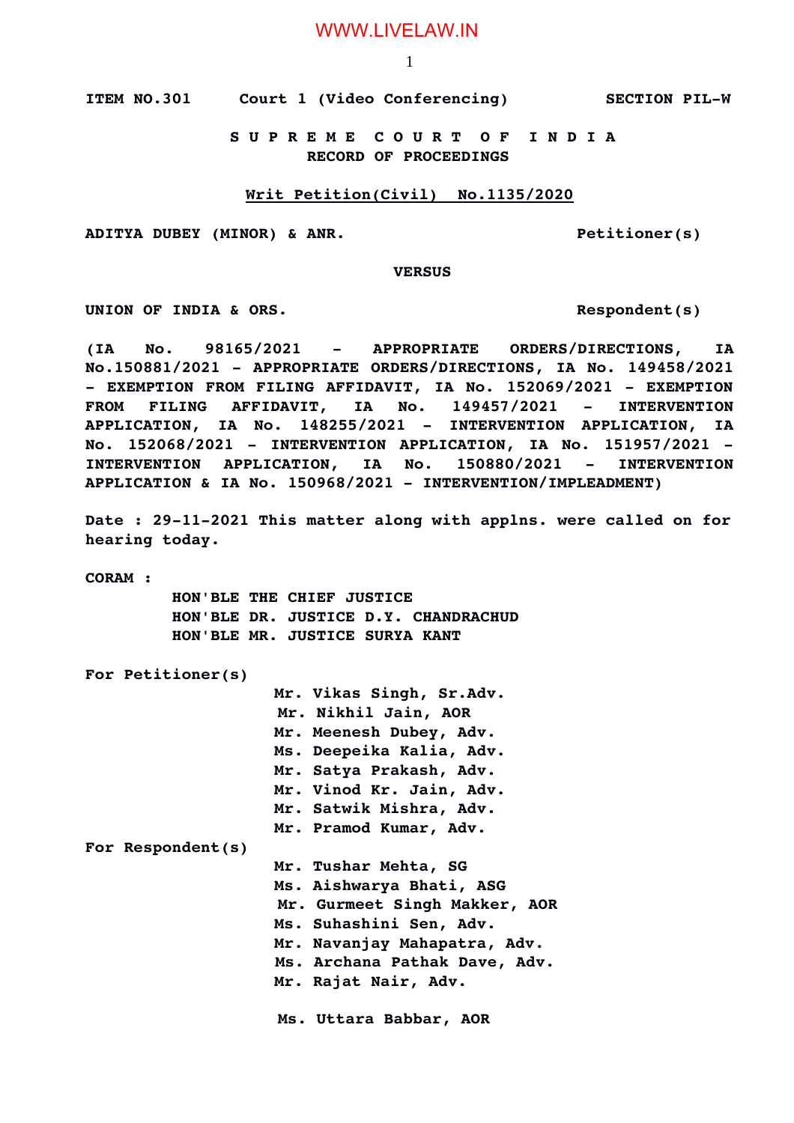**ITEM NO.301 Court 1 (Video Conferencing) SECTION PILW**

 **S U P R E M E C O U R T O F I N D I A RECORD OF PROCEEDINGS**

#### **Writ Petition(Civil) No.1135/2020**

**ADITYA DUBEY (MINOR) & ANR. Petitioner(s)**

 **VERSUS**

**UNION OF INDIA & ORS. Respondent(s)**

**(IA No. 98165/2021 APPROPRIATE ORDERS/DIRECTIONS, IA No.150881/2021 APPROPRIATE ORDERS/DIRECTIONS, IA No. 149458/2021 EXEMPTION FROM FILING AFFIDAVIT, IA No. 152069/2021 EXEMPTION FROM FILING AFFIDAVIT, IA No. 149457/2021 INTERVENTION APPLICATION, IA No. 148255/2021 INTERVENTION APPLICATION, IA No. 152068/2021 INTERVENTION APPLICATION, IA No. 151957/2021 INTERVENTION APPLICATION, IA No. 150880/2021 INTERVENTION APPLICATION & IA No. 150968/2021 INTERVENTION/IMPLEADMENT)**

Date : 29-11-2021 This matter along with applns. were called on for **hearing today.**

**CORAM :** 

 **HON'BLE THE CHIEF JUSTICE HON'BLE DR. JUSTICE D.Y. CHANDRACHUD HON'BLE MR. JUSTICE SURYA KANT**

**For Petitioner(s)**

**Mr. Vikas Singh, Sr.Adv. Mr. Nikhil Jain, AOR Mr. Meenesh Dubey, Adv. Ms. Deepeika Kalia, Adv. Mr. Satya Prakash, Adv. Mr. Vinod Kr. Jain, Adv. Mr. Satwik Mishra, Adv. Mr. Pramod Kumar, Adv. For Respondent(s) Mr. Tushar Mehta, SG Ms. Aishwarya Bhati, ASG Mr. Gurmeet Singh Makker, AOR Ms. Suhashini Sen, Adv. Mr. Navanjay Mahapatra, Adv. Ms. Archana Pathak Dave, Adv. Mr. Rajat Nair, Adv. Ms. Uttara Babbar, AOR**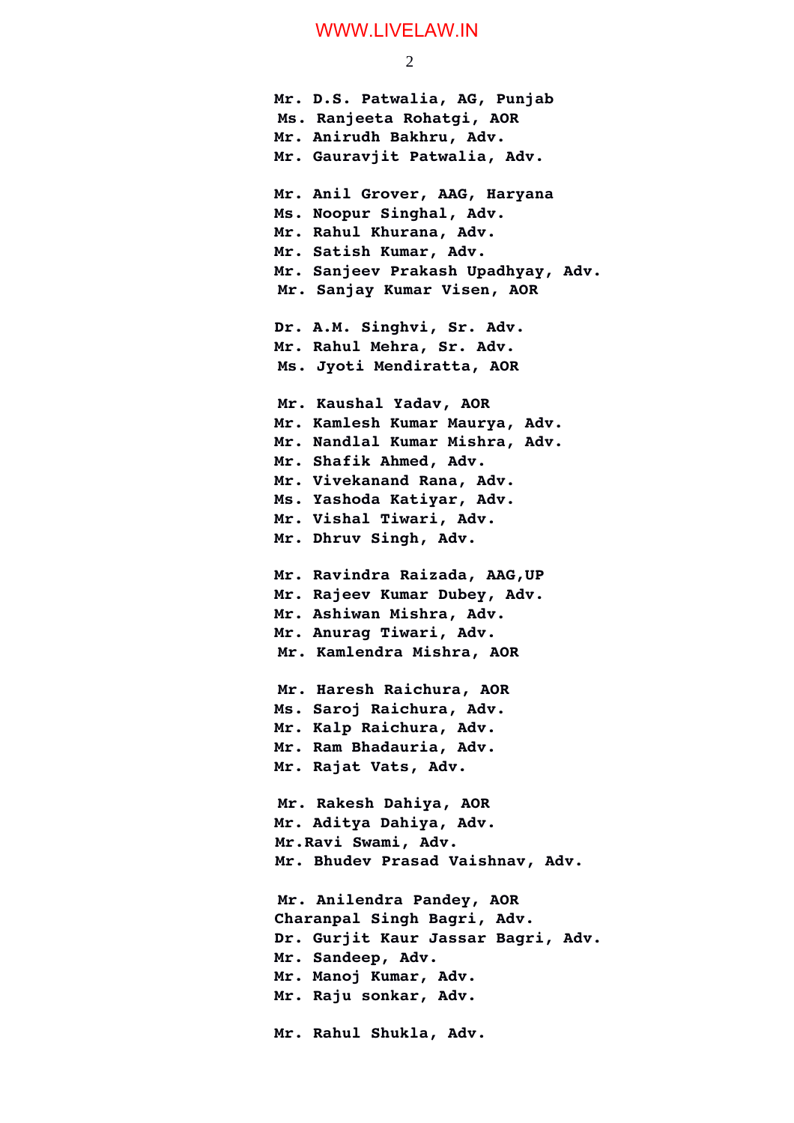2

**Mr. D.S. Patwalia, AG, Punjab Ms. Ranjeeta Rohatgi, AOR Mr. Anirudh Bakhru, Adv. Mr. Gauravjit Patwalia, Adv. Mr. Anil Grover, AAG, Haryana Ms. Noopur Singhal, Adv. Mr. Rahul Khurana, Adv. Mr. Satish Kumar, Adv. Mr. Sanjeev Prakash Upadhyay, Adv. Mr. Sanjay Kumar Visen, AOR Dr. A.M. Singhvi, Sr. Adv. Mr. Rahul Mehra, Sr. Adv. Ms. Jyoti Mendiratta, AOR Mr. Kaushal Yadav, AOR Mr. Kamlesh Kumar Maurya, Adv. Mr. Nandlal Kumar Mishra, Adv. Mr. Shafik Ahmed, Adv. Mr. Vivekanand Rana, Adv. Ms. Yashoda Katiyar, Adv. Mr. Vishal Tiwari, Adv. Mr. Dhruv Singh, Adv. Mr. Ravindra Raizada, AAG,UP Mr. Rajeev Kumar Dubey, Adv. Mr. Ashiwan Mishra, Adv. Mr. Anurag Tiwari, Adv. Mr. Kamlendra Mishra, AOR Mr. Haresh Raichura, AOR Ms. Saroj Raichura, Adv. Mr. Kalp Raichura, Adv. Mr. Ram Bhadauria, Adv. Mr. Rajat Vats, Adv. Mr. Rakesh Dahiya, AOR Mr. Aditya Dahiya, Adv. Mr.Ravi Swami, Adv. Mr. Bhudev Prasad Vaishnav, Adv. Mr. Anilendra Pandey, AOR Charanpal Singh Bagri, Adv. Dr. Gurjit Kaur Jassar Bagri, Adv. Mr. Sandeep, Adv. Mr. Manoj Kumar, Adv. Mr. Raju sonkar, Adv. Mr. Rahul Shukla, Adv.**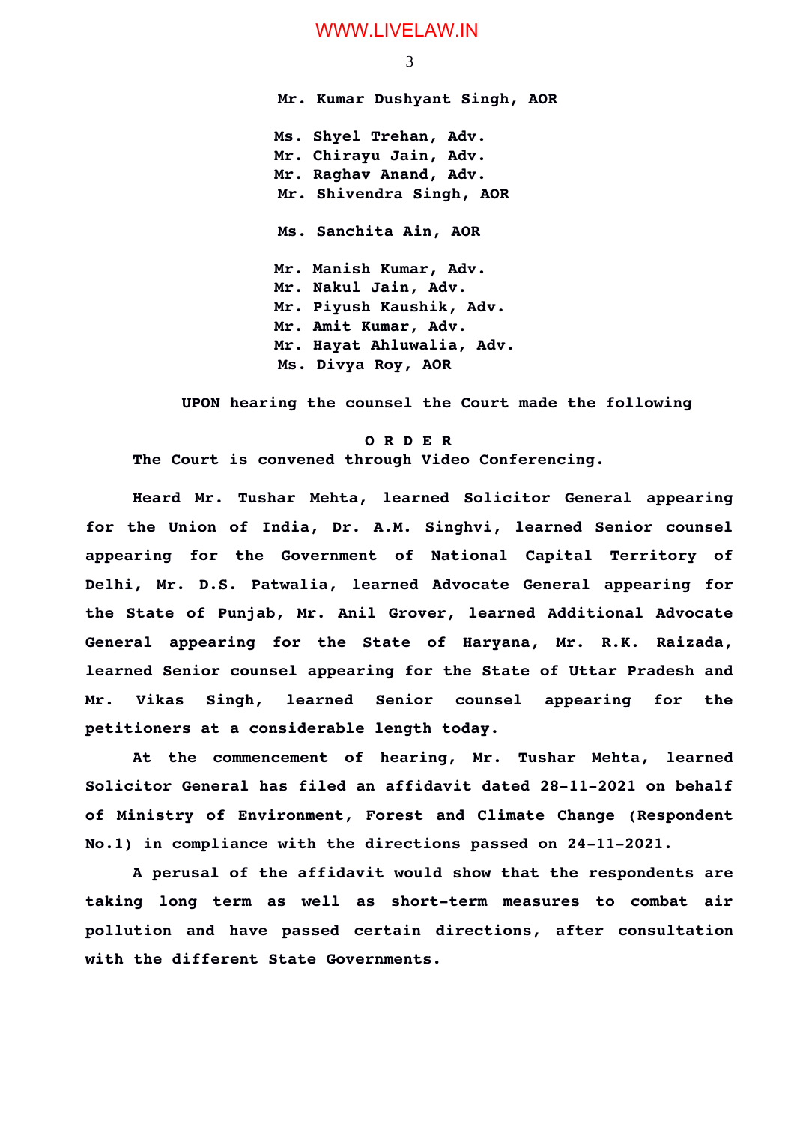**Mr. Kumar Dushyant Singh, AOR Ms. Shyel Trehan, Adv. Mr. Chirayu Jain, Adv. Mr. Raghav Anand, Adv. Mr. Shivendra Singh, AOR Ms. Sanchita Ain, AOR Mr. Manish Kumar, Adv. Mr. Nakul Jain, Adv. Mr. Piyush Kaushik, Adv. Mr. Amit Kumar, Adv. Mr. Hayat Ahluwalia, Adv. Ms. Divya Roy, AOR** 

 **UPON hearing the counsel the Court made the following**

#### **O R D E R**

**The Court is convened through Video Conferencing.**

**Heard Mr. Tushar Mehta, learned Solicitor General appearing for the Union of India, Dr. A.M. Singhvi, learned Senior counsel appearing for the Government of National Capital Territory of Delhi, Mr. D.S. Patwalia, learned Advocate General appearing for the State of Punjab, Mr. Anil Grover, learned Additional Advocate General appearing for the State of Haryana, Mr. R.K. Raizada, learned Senior counsel appearing for the State of Uttar Pradesh and Mr. Vikas Singh, learned Senior counsel appearing for the petitioners at a considerable length today.**

**At the commencement of hearing, Mr. Tushar Mehta, learned** Solicitor General has filed an affidavit dated 28-11-2021 on behalf **of Ministry of Environment, Forest and Climate Change (Respondent** No.1) in compliance with the directions passed on 24-11-2021.

**A perusal of the affidavit would show that the respondents are** taking long term as well as short-term measures to combat air **pollution and have passed certain directions, after consultation with the different State Governments.** 

3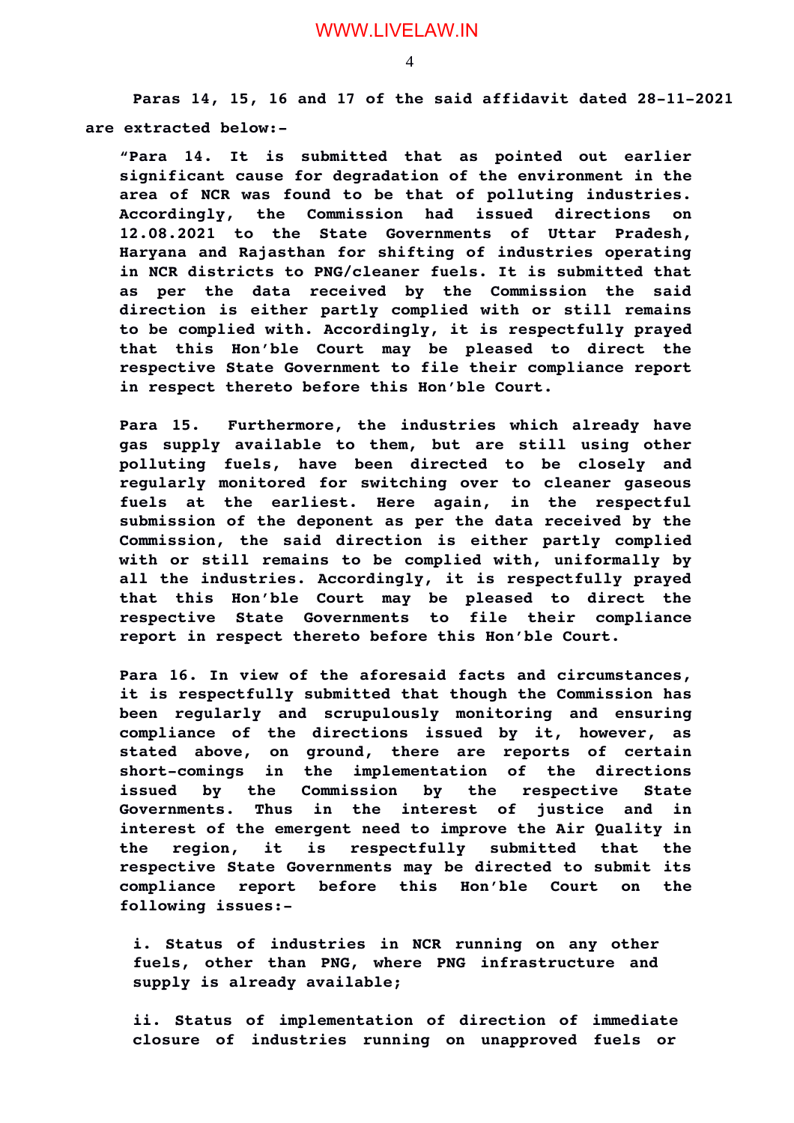Paras 14, 15, 16 and 17 of the said affidavit dated 28-11-2021 **are extracted below:**

**"Para 14. It is submitted that as pointed out earlier significant cause for degradation of the environment in the area of NCR was found to be that of polluting industries. Accordingly, the Commission had issued directions on 12.08.2021 to the State Governments of Uttar Pradesh, Haryana and Rajasthan for shifting of industries operating in NCR districts to PNG/cleaner fuels. It is submitted that as per the data received by the Commission the said direction is either partly complied with or still remains to be complied with. Accordingly, it is respectfully prayed that this Hon'ble Court may be pleased to direct the respective State Government to file their compliance report in respect thereto before this Hon'ble Court.**

**Para 15. Furthermore, the industries which already have gas supply available to them, but are still using other polluting fuels, have been directed to be closely and regularly monitored for switching over to cleaner gaseous fuels at the earliest. Here again, in the respectful submission of the deponent as per the data received by the Commission, the said direction is either partly complied with or still remains to be complied with, uniformally by all the industries. Accordingly, it is respectfully prayed that this Hon'ble Court may be pleased to direct the respective State Governments to file their compliance report in respect thereto before this Hon'ble Court.**

**Para 16. In view of the aforesaid facts and circumstances, it is respectfully submitted that though the Commission has been regularly and scrupulously monitoring and ensuring compliance of the directions issued by it, however, as stated above, on ground, there are reports of certain** short-comings in the implementation of the directions **issued by the Commission by the respective State Governments. Thus in the interest of justice and in interest of the emergent need to improve the Air Quality in the region, it is respectfully submitted that the respective State Governments may be directed to submit its compliance report before this Hon'ble Court on the following issues:**

i. Status of industries in NCR running on any other fuels, other than PNG, where PNG infrastructure and **supply is already available;**

**ii. Status of implementation of direction of immediate closure of industries running on unapproved fuels or**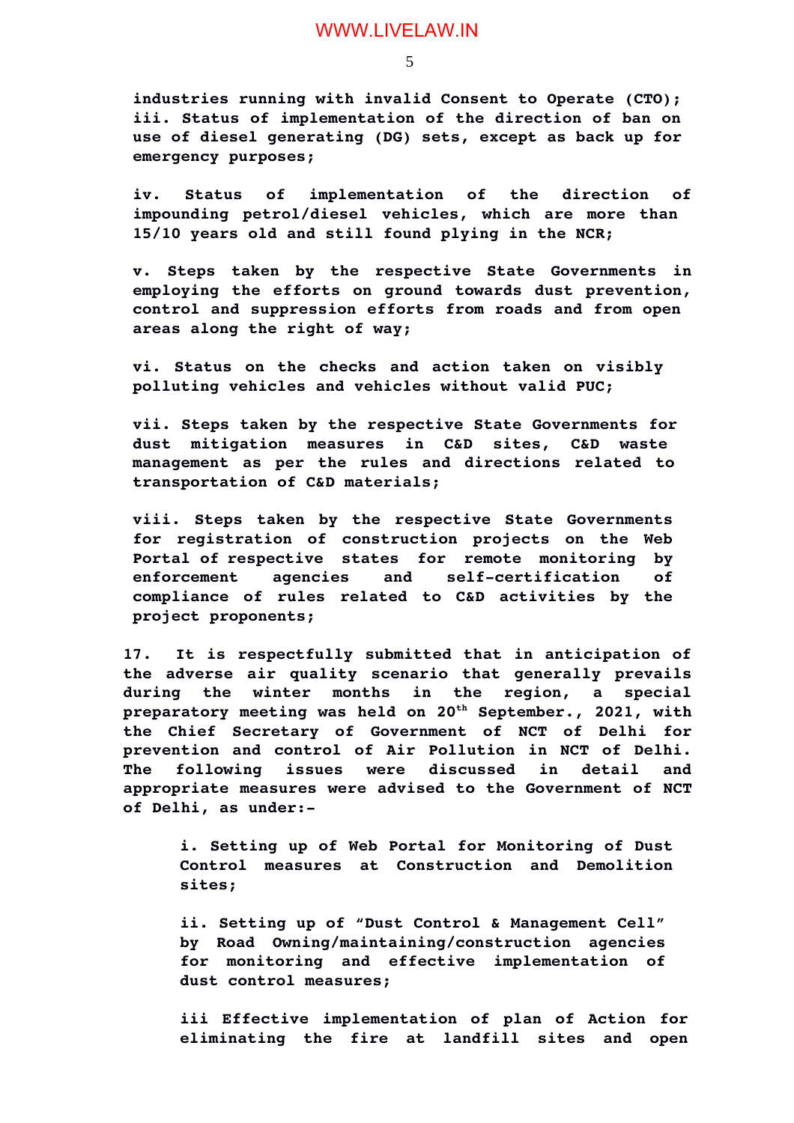5

**industries running with invalid Consent to Operate (CTO); iii. Status of implementation of the direction of ban on use of diesel generating (DG) sets, except as back up for emergency purposes;**

**iv. Status of implementation of the direction of impounding petrol/diesel vehicles, which are more than 15/10 years old and still found plying in the NCR;**

**v. Steps taken by the respective State Governments in employing the efforts on ground towards dust prevention, control and suppression efforts from roads and from open areas along the right of way;**

**vi. Status on the checks and action taken on visibly polluting vehicles and vehicles without valid PUC;**

**vii. Steps taken by the respective State Governments for dust mitigation measures in C&D sites, C&D waste management as per the rules and directions related to transportation of C&D materials;**

**viii. Steps taken by the respective State Governments for registration of construction projects on the Web Portal of respective states for remote monitoring by** enforcement agencies and self-certification of **compliance of rules related to C&D activities by the project proponents;** 

**17. It is respectfully submitted that in anticipation of the adverse air quality scenario that generally prevails during the winter months in the region, a special preparatory meeting was held on 20th September., 2021, with the Chief Secretary of Government of NCT of Delhi for prevention and control of Air Pollution in NCT of Delhi. The following issues were discussed in detail and appropriate measures were advised to the Government of NCT of Delhi, as under:**

**i. Setting up of Web Portal for Monitoring of Dust Control measures at Construction and Demolition sites;**

**ii. Setting up of "Dust Control & Management Cell" by Road Owning/maintaining/construction agencies for monitoring and effective implementation of dust control measures;**

**iii Effective implementation of plan of Action for eliminating the fire at landfill sites and open**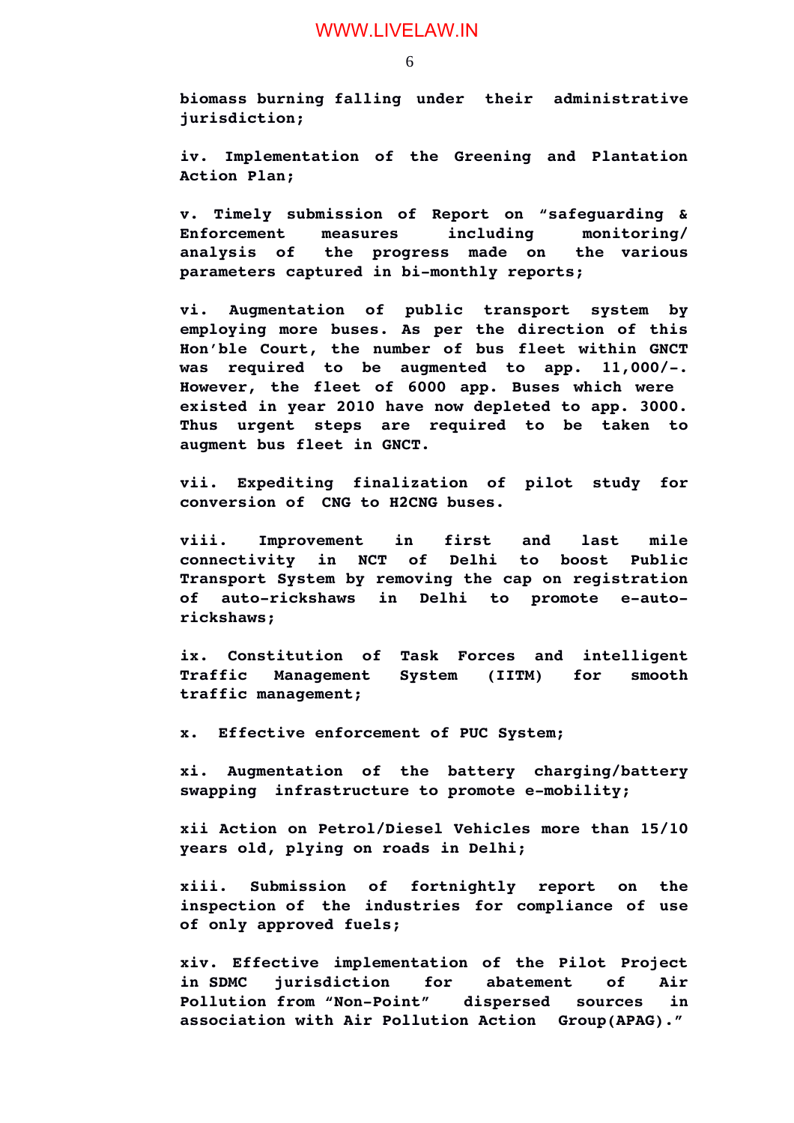**biomass burning falling under their administrative jurisdiction;**

**iv. Implementation of the Greening and Plantation Action Plan;**

**v. Timely submission of Report on "safeguarding & Enforcement measures including monitoring/ analysis of the progress made on the various** parameters captured in bi-monthly reports;

**vi. Augmentation of public transport system by employing more buses. As per the direction of this Hon'ble Court, the number of bus fleet within GNCT** was required to be augmented to app. 11,000/-. **However, the fleet of 6000 app. Buses which were existed in year 2010 have now depleted to app. 3000. Thus urgent steps are required to be taken to augment bus fleet in GNCT.**

**vii. Expediting finalization of pilot study for conversion of CNG to H2CNG buses.**

**viii. Improvement in first and last mile connectivity in NCT of Delhi to boost Public Transport System by removing the cap on registration** of auto-rickshaws in Delhi to promote e-auto**rickshaws;**

**ix. Constitution of Task Forces and intelligent Traffic Management System (IITM) for smooth traffic management;**

**x. Effective enforcement of PUC System;**

**xi. Augmentation of the battery charging/battery swapping infrastructure to promote emobility;**

**xii Action on Petrol/Diesel Vehicles more than 15/10 years old, plying on roads in Delhi;**

**xiii. Submission of fortnightly report on the inspection of the industries for compliance of use of only approved fuels;**

**xiv. Effective implementation of the Pilot Project in SDMC jurisdiction for abatement of Air** Pollution from "Non-Point" dispersed sources in **association with Air Pollution Action Group(APAG)."**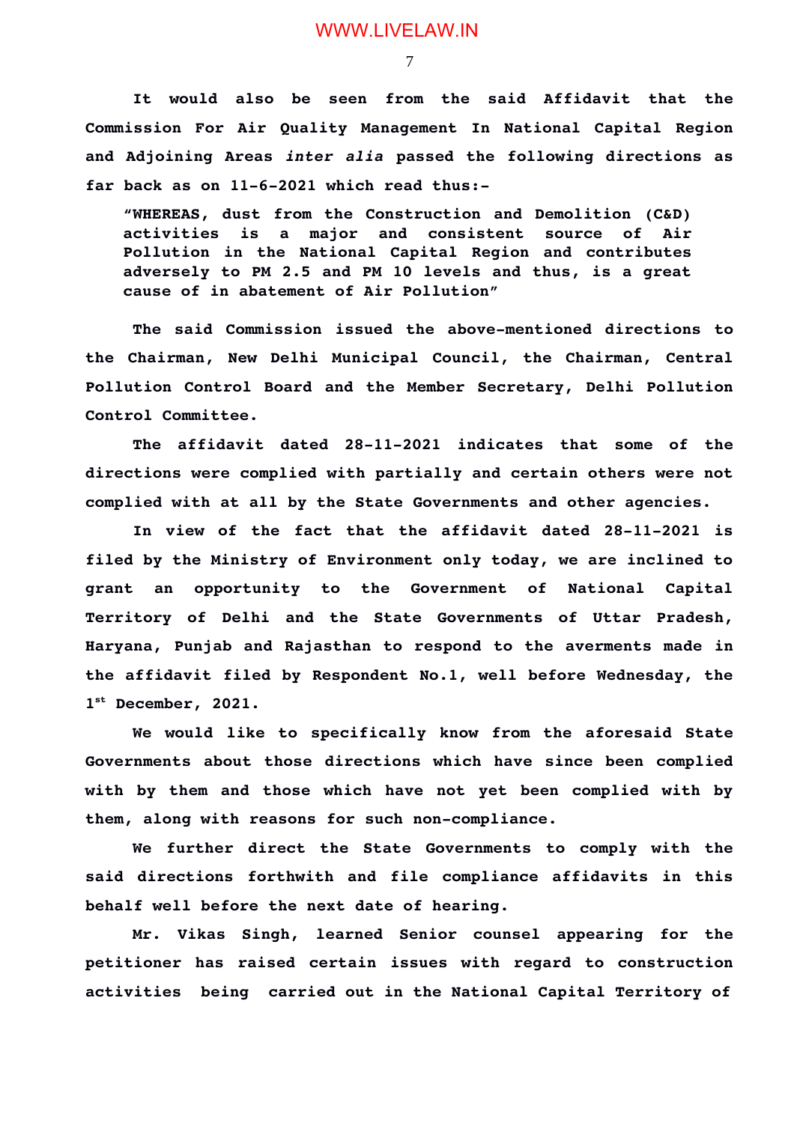7

**It would also be seen from the said Affidavit that the Commission For Air Quality Management In National Capital Region and Adjoining Areas** *inter alia* **passed the following directions as** far back as on  $11-6-2021$  which read thus:-

**"WHEREAS, dust from the Construction and Demolition (C&D) activities is a major and consistent source of Air Pollution in the National Capital Region and contributes adversely to PM 2.5 and PM 10 levels and thus, is a great cause of in abatement of Air Pollution"**

The said Commission issued the above-mentioned directions to **the Chairman, New Delhi Municipal Council, the Chairman, Central Pollution Control Board and the Member Secretary, Delhi Pollution Control Committee.**

The affidavit dated 28-11-2021 indicates that some of the **directions were complied with partially and certain others were not complied with at all by the State Governments and other agencies.** 

In view of the fact that the affidavit dated 28-11-2021 is **filed by the Ministry of Environment only today, we are inclined to grant an opportunity to the Government of National Capital Territory of Delhi and the State Governments of Uttar Pradesh, Haryana, Punjab and Rajasthan to respond to the averments made in the affidavit filed by Respondent No.1, well before Wednesday, the 1 st December, 2021.**

**We would like to specifically know from the aforesaid State Governments about those directions which have since been complied with by them and those which have not yet been complied with by** them, along with reasons for such non-compliance.

**We further direct the State Governments to comply with the said directions forthwith and file compliance affidavits in this behalf well before the next date of hearing.**

**Mr. Vikas Singh, learned Senior counsel appearing for the petitioner has raised certain issues with regard to construction activities being carried out in the National Capital Territory of**